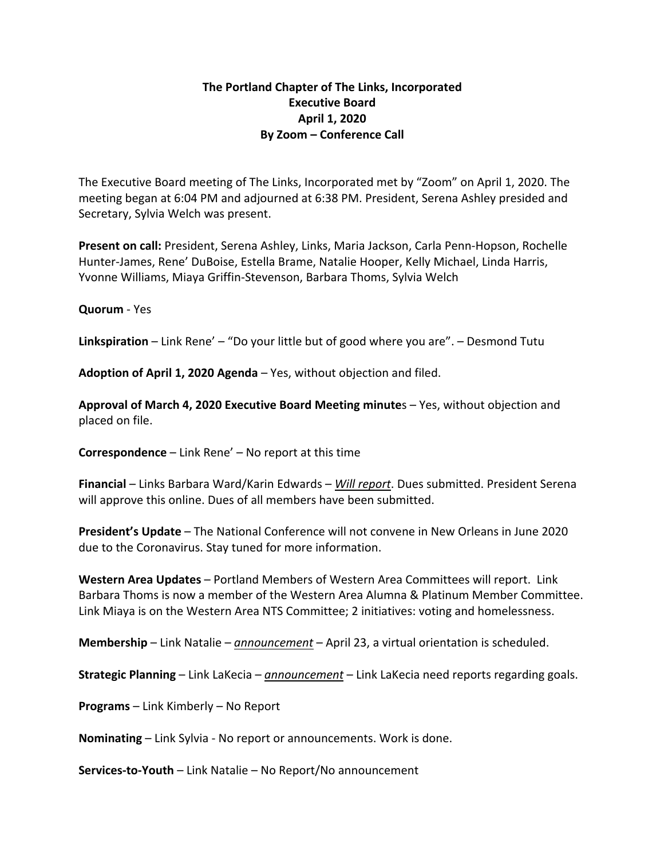## **The Portland Chapter of The Links, Incorporated Executive Board April 1, 2020 By Zoom – Conference Call**

The Executive Board meeting of The Links, Incorporated met by "Zoom" on April 1, 2020. The meeting began at 6:04 PM and adjourned at 6:38 PM. President, Serena Ashley presided and Secretary, Sylvia Welch was present.

**Present on call:** President, Serena Ashley, Links, Maria Jackson, Carla Penn-Hopson, Rochelle Hunter-James, Rene' DuBoise, Estella Brame, Natalie Hooper, Kelly Michael, Linda Harris, Yvonne Williams, Miaya Griffin-Stevenson, Barbara Thoms, Sylvia Welch

## **Quorum** - Yes

**Linkspiration** – Link Rene' – "Do your little but of good where you are". – Desmond Tutu

**Adoption of April 1, 2020 Agenda** – Yes, without objection and filed.

**Approval of March 4, 2020 Executive Board Meeting minute**s – Yes, without objection and placed on file.

**Correspondence** – Link Rene' – No report at this time

**Financial** – Links Barbara Ward/Karin Edwards – *Will report*. Dues submitted. President Serena will approve this online. Dues of all members have been submitted.

**President's Update** – The National Conference will not convene in New Orleans in June 2020 due to the Coronavirus. Stay tuned for more information.

**Western Area Updates** – Portland Members of Western Area Committees will report. Link Barbara Thoms is now a member of the Western Area Alumna & Platinum Member Committee. Link Miaya is on the Western Area NTS Committee; 2 initiatives: voting and homelessness.

**Membership** – Link Natalie – *announcement* – April 23, a virtual orientation is scheduled.

**Strategic Planning** – Link LaKecia – *announcement* – Link LaKecia need reports regarding goals.

**Programs** – Link Kimberly – No Report

**Nominating** – Link Sylvia - No report or announcements. Work is done.

**Services-to-Youth** – Link Natalie – No Report/No announcement